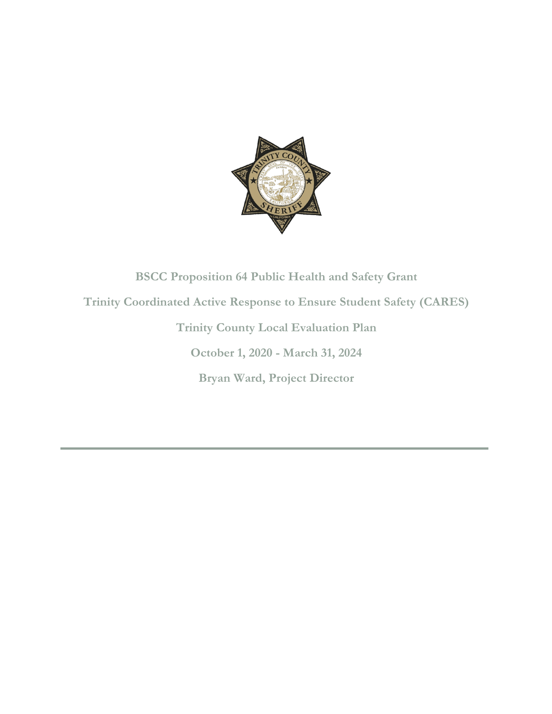

# **BSCC Proposition 64 Public Health and Safety Grant Trinity Coordinated Active Response to Ensure Student Safety (CARES) Trinity County Local Evaluation Plan October 1, 2020 - March 31, 2024 Bryan Ward, Project Director**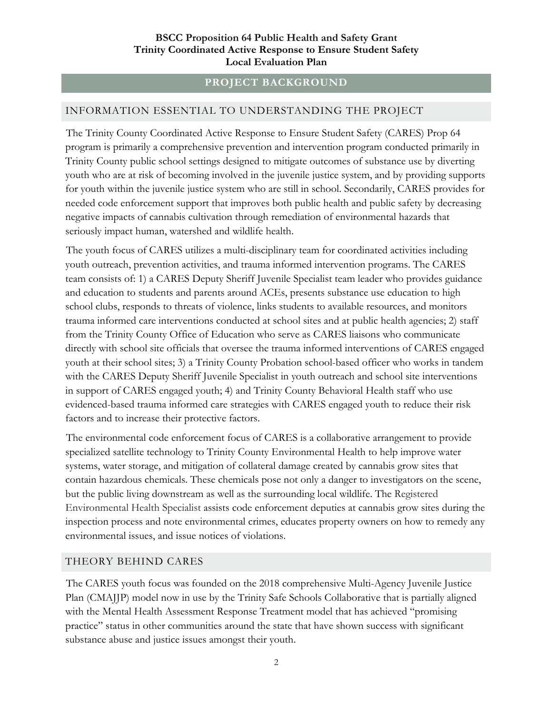# **PROJECT BACKGROUND**

#### INFORMATION ESSENTIAL TO UNDERSTANDING THE PROJECT

The Trinity County Coordinated Active Response to Ensure Student Safety (CARES) Prop 64 program is primarily a comprehensive prevention and intervention program conducted primarily in Trinity County public school settings designed to mitigate outcomes of substance use by diverting youth who are at risk of becoming involved in the juvenile justice system, and by providing supports for youth within the juvenile justice system who are still in school. Secondarily, CARES provides for needed code enforcement support that improves both public health and public safety by decreasing negative impacts of cannabis cultivation through remediation of environmental hazards that seriously impact human, watershed and wildlife health.

The youth focus of CARES utilizes a multi-disciplinary team for coordinated activities including youth outreach, prevention activities, and trauma informed intervention programs. The CARES team consists of: 1) a CARES Deputy Sheriff Juvenile Specialist team leader who provides guidance and education to students and parents around ACEs, presents substance use education to high school clubs, responds to threats of violence, links students to available resources, and monitors trauma informed care interventions conducted at school sites and at public health agencies; 2) staff from the Trinity County Office of Education who serve as CARES liaisons who communicate directly with school site officials that oversee the trauma informed interventions of CARES engaged youth at their school sites; 3) a Trinity County Probation school-based officer who works in tandem with the CARES Deputy Sheriff Juvenile Specialist in youth outreach and school site interventions in support of CARES engaged youth; 4) and Trinity County Behavioral Health staff who use evidenced-based trauma informed care strategies with CARES engaged youth to reduce their risk factors and to increase their protective factors.

The environmental code enforcement focus of CARES is a collaborative arrangement to provide specialized satellite technology to Trinity County Environmental Health to help improve water systems, water storage, and mitigation of collateral damage created by cannabis grow sites that contain hazardous chemicals. These chemicals pose not only a danger to investigators on the scene, but the public living downstream as well as the surrounding local wildlife. The Registered Environmental Health Specialist assists code enforcement deputies at cannabis grow sites during the inspection process and note environmental crimes, educates property owners on how to remedy any environmental issues, and issue notices of violations.

#### THEORY BEHIND CARES

The CARES youth focus was founded on the 2018 comprehensive Multi-Agency Juvenile Justice Plan (CMAJJP) model now in use by the Trinity Safe Schools Collaborative that is partially aligned with the Mental Health Assessment Response Treatment model that has achieved "promising practice" status in other communities around the state that have shown success with significant substance abuse and justice issues amongst their youth.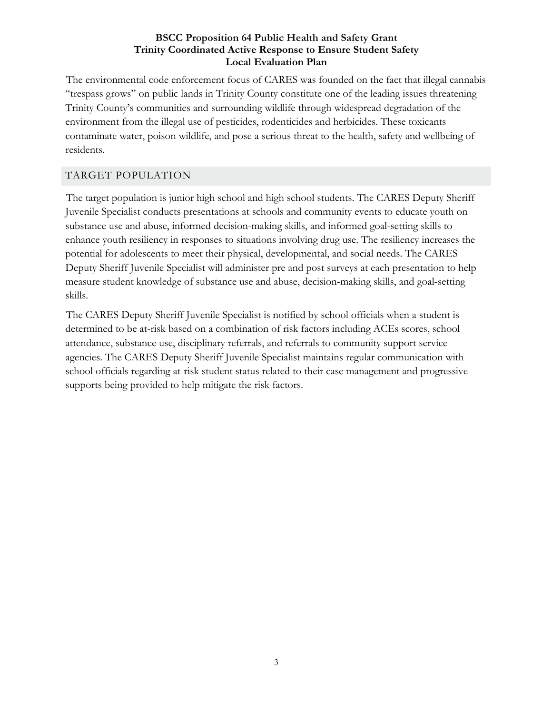The environmental code enforcement focus of CARES was founded on the fact that illegal cannabis "trespass grows" on public lands in Trinity County constitute one of the leading issues threatening Trinity County's communities and surrounding wildlife through widespread degradation of the environment from the illegal use of pesticides, rodenticides and herbicides. These toxicants contaminate water, poison wildlife, and pose a serious threat to the health, safety and wellbeing of residents.

# TARGET POPULATION

The target population is junior high school and high school students. The CARES Deputy Sheriff Juvenile Specialist conducts presentations at schools and community events to educate youth on substance use and abuse, informed decision-making skills, and informed goal-setting skills to enhance youth resiliency in responses to situations involving drug use. The resiliency increases the potential for adolescents to meet their physical, developmental, and social needs. The CARES Deputy Sheriff Juvenile Specialist will administer pre and post surveys at each presentation to help measure student knowledge of substance use and abuse, decision-making skills, and goal-setting skills.

The CARES Deputy Sheriff Juvenile Specialist is notified by school officials when a student is determined to be at-risk based on a combination of risk factors including ACEs scores, school attendance, substance use, disciplinary referrals, and referrals to community support service agencies. The CARES Deputy Sheriff Juvenile Specialist maintains regular communication with school officials regarding at-risk student status related to their case management and progressive supports being provided to help mitigate the risk factors.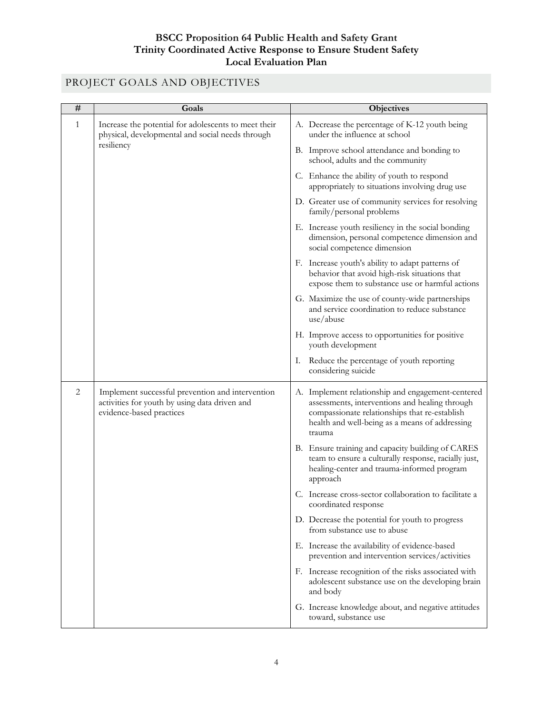# PROJECT GOALS AND OBJECTIVES

| # | Goals                                                                                                                         | <b>Objectives</b>                                                                                                                                                                                                |
|---|-------------------------------------------------------------------------------------------------------------------------------|------------------------------------------------------------------------------------------------------------------------------------------------------------------------------------------------------------------|
| 1 | Increase the potential for adolescents to meet their<br>physical, developmental and social needs through<br>resiliency        | A. Decrease the percentage of K-12 youth being<br>under the influence at school                                                                                                                                  |
|   |                                                                                                                               | B. Improve school attendance and bonding to<br>school, adults and the community                                                                                                                                  |
|   |                                                                                                                               | C. Enhance the ability of youth to respond<br>appropriately to situations involving drug use                                                                                                                     |
|   |                                                                                                                               | D. Greater use of community services for resolving<br>family/personal problems                                                                                                                                   |
|   |                                                                                                                               | E. Increase youth resiliency in the social bonding<br>dimension, personal competence dimension and<br>social competence dimension                                                                                |
|   |                                                                                                                               | F. Increase youth's ability to adapt patterns of<br>behavior that avoid high-risk situations that<br>expose them to substance use or harmful actions                                                             |
|   |                                                                                                                               | G. Maximize the use of county-wide partnerships<br>and service coordination to reduce substance<br>use/abuse                                                                                                     |
|   |                                                                                                                               | H. Improve access to opportunities for positive<br>youth development                                                                                                                                             |
|   |                                                                                                                               | Reduce the percentage of youth reporting<br>I.<br>considering suicide                                                                                                                                            |
| 2 | Implement successful prevention and intervention<br>activities for youth by using data driven and<br>evidence-based practices | A. Implement relationship and engagement-centered<br>assessments, interventions and healing through<br>compassionate relationships that re-establish<br>health and well-being as a means of addressing<br>trauma |
|   |                                                                                                                               | B. Ensure training and capacity building of CARES<br>team to ensure a culturally response, racially just,<br>healing-center and trauma-informed program<br>approach                                              |
|   |                                                                                                                               | C. Increase cross-sector collaboration to facilitate a<br>coordinated response                                                                                                                                   |
|   |                                                                                                                               | D. Decrease the potential for youth to progress<br>from substance use to abuse                                                                                                                                   |
|   |                                                                                                                               | E. Increase the availability of evidence-based<br>prevention and intervention services/activities                                                                                                                |
|   |                                                                                                                               | F. Increase recognition of the risks associated with<br>adolescent substance use on the developing brain<br>and body                                                                                             |
|   |                                                                                                                               | G. Increase knowledge about, and negative attitudes<br>toward, substance use                                                                                                                                     |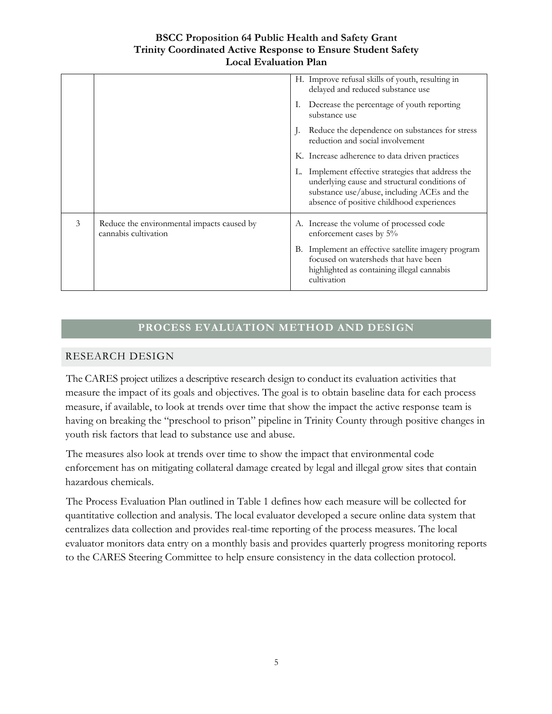|   |                                                                    |    | H. Improve refusal skills of youth, resulting in<br>delayed and reduced substance use                                                                                                           |
|---|--------------------------------------------------------------------|----|-------------------------------------------------------------------------------------------------------------------------------------------------------------------------------------------------|
|   |                                                                    | Ι. | Decrease the percentage of youth reporting<br>substance use                                                                                                                                     |
|   |                                                                    |    | Reduce the dependence on substances for stress<br>reduction and social involvement                                                                                                              |
|   |                                                                    |    | K. Increase adherence to data driven practices                                                                                                                                                  |
|   |                                                                    |    | L. Implement effective strategies that address the<br>underlying cause and structural conditions of<br>substance use/abuse, including ACEs and the<br>absence of positive childhood experiences |
| 3 | Reduce the environmental impacts caused by<br>cannabis cultivation |    | A. Increase the volume of processed code<br>enforcement cases by 5%                                                                                                                             |
|   |                                                                    |    | B. Implement an effective satellite imagery program<br>focused on watersheds that have been<br>highlighted as containing illegal cannabis<br>cultivation                                        |

# **PROCESS EVALUATION METHOD AND DESIGN**

# RESEARCH DESIGN

The CARES project utilizes a descriptive research design to conduct its evaluation activities that measure the impact of its goals and objectives. The goal is to obtain baseline data for each process measure, if available, to look at trends over time that show the impact the active response team is having on breaking the "preschool to prison" pipeline in Trinity County through positive changes in youth risk factors that lead to substance use and abuse.

The measures also look at trends over time to show the impact that environmental code enforcement has on mitigating collateral damage created by legal and illegal grow sites that contain hazardous chemicals.

The Process Evaluation Plan outlined in Table 1 defines how each measure will be collected for quantitative collection and analysis. The local evaluator developed a secure online data system that centralizes data collection and provides real-time reporting of the process measures. The local evaluator monitors data entry on a monthly basis and provides quarterly progress monitoring reports to the CARES Steering Committee to help ensure consistency in the data collection protocol.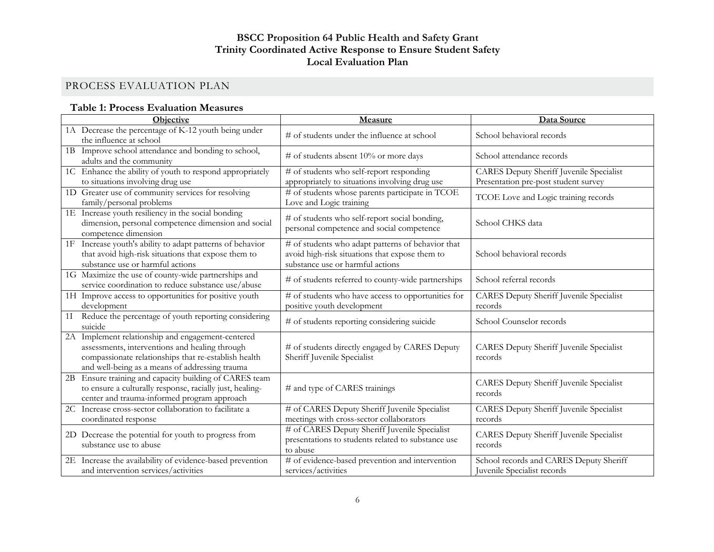# PROCESS EVALUATION PLAN

# **Table 1: Process Evaluation Measures**

| <b>Objective</b>                                                                                                                                                                                                 | <b>Measure</b>                                                                                                                          | Data Source                                                                      |  |
|------------------------------------------------------------------------------------------------------------------------------------------------------------------------------------------------------------------|-----------------------------------------------------------------------------------------------------------------------------------------|----------------------------------------------------------------------------------|--|
| 1A Decrease the percentage of K-12 youth being under<br>the influence at school                                                                                                                                  | # of students under the influence at school                                                                                             | School behavioral records                                                        |  |
| 1B Improve school attendance and bonding to school,<br>adults and the community                                                                                                                                  | # of students absent $10\%$ or more days                                                                                                | School attendance records                                                        |  |
| 1C Enhance the ability of youth to respond appropriately<br>to situations involving drug use                                                                                                                     | # of students who self-report responding<br>appropriately to situations involving drug use                                              | CARES Deputy Sheriff Juvenile Specialist<br>Presentation pre-post student survey |  |
| 1D Greater use of community services for resolving<br>family/personal problems                                                                                                                                   | # of students whose parents participate in TCOE<br>Love and Logic training                                                              | TCOE Love and Logic training records                                             |  |
| 1E Increase youth resiliency in the social bonding<br>dimension, personal competence dimension and social<br>competence dimension                                                                                | # of students who self-report social bonding,<br>personal competence and social competence                                              | School CHKS data                                                                 |  |
| Increase youth's ability to adapt patterns of behavior<br>1F<br>that avoid high-risk situations that expose them to<br>substance use or harmful actions                                                          | # of students who adapt patterns of behavior that<br>avoid high-risk situations that expose them to<br>substance use or harmful actions | School behavioral records                                                        |  |
| 1G Maximize the use of county-wide partnerships and<br>service coordination to reduce substance use/abuse                                                                                                        | # of students referred to county-wide partnerships                                                                                      | School referral records                                                          |  |
| 1H Improve access to opportunities for positive youth<br>development                                                                                                                                             | # of students who have access to opportunities for<br>positive youth development                                                        | CARES Deputy Sheriff Juvenile Specialist<br>records                              |  |
| Reduce the percentage of youth reporting considering<br>$1\mathrm{I}$<br>suicide                                                                                                                                 | # of students reporting considering suicide                                                                                             | School Counselor records                                                         |  |
| Implement relationship and engagement-centered<br>2A<br>assessments, interventions and healing through<br>compassionate relationships that re-establish health<br>and well-being as a means of addressing trauma | # of students directly engaged by CARES Deputy<br>Sheriff Juvenile Specialist                                                           | CARES Deputy Sheriff Juvenile Specialist<br>records                              |  |
| Ensure training and capacity building of CARES team<br>2B<br>to ensure a culturally response, racially just, healing-<br>center and trauma-informed program approach                                             | # and type of CARES trainings                                                                                                           | <b>CARES Deputy Sheriff Juvenile Specialist</b><br>records                       |  |
| 2C Increase cross-sector collaboration to facilitate a<br>coordinated response                                                                                                                                   | # of CARES Deputy Sheriff Juvenile Specialist<br>meetings with cross-sector collaborators                                               | <b>CARES Deputy Sheriff Juvenile Specialist</b><br>records                       |  |
| 2D Decrease the potential for youth to progress from<br>substance use to abuse                                                                                                                                   | # of CARES Deputy Sheriff Juvenile Specialist<br>presentations to students related to substance use<br>to abuse                         | CARES Deputy Sheriff Juvenile Specialist<br>records                              |  |
| 2E Increase the availability of evidence-based prevention<br>and intervention services/activities                                                                                                                | # of evidence-based prevention and intervention<br>services/activities                                                                  | School records and CARES Deputy Sheriff<br>Juvenile Specialist records           |  |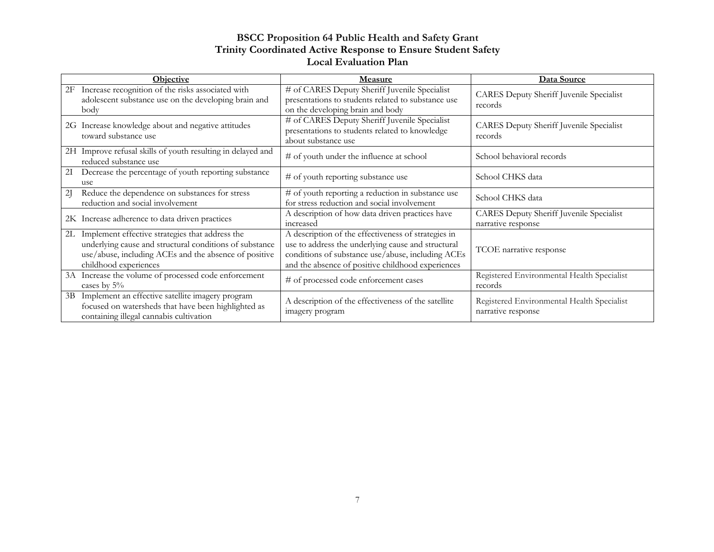| <b>Objective</b>                                                                                                                                                                                   | Measure                                                                                                                                                                                                             | Data Source                                                           |
|----------------------------------------------------------------------------------------------------------------------------------------------------------------------------------------------------|---------------------------------------------------------------------------------------------------------------------------------------------------------------------------------------------------------------------|-----------------------------------------------------------------------|
| Increase recognition of the risks associated with<br>2F<br>adolescent substance use on the developing brain and<br>body                                                                            | # of CARES Deputy Sheriff Juvenile Specialist<br>presentations to students related to substance use<br>on the developing brain and body                                                                             | <b>CARES Deputy Sheriff Juvenile Specialist</b><br>records            |
| 2G Increase knowledge about and negative attitudes<br>toward substance use                                                                                                                         | # of CARES Deputy Sheriff Juvenile Specialist<br>presentations to students related to knowledge<br>about substance use                                                                                              | CARES Deputy Sheriff Juvenile Specialist<br>records                   |
| 2H Improve refusal skills of youth resulting in delayed and<br>reduced substance use                                                                                                               | # of youth under the influence at school                                                                                                                                                                            | School behavioral records                                             |
| Decrease the percentage of youth reporting substance<br>21<br>use                                                                                                                                  | # of youth reporting substance use                                                                                                                                                                                  | School CHKS data                                                      |
| Reduce the dependence on substances for stress<br>21<br>reduction and social involvement                                                                                                           | # of youth reporting a reduction in substance use<br>for stress reduction and social involvement                                                                                                                    | School CHKS data                                                      |
| 2K Increase adherence to data driven practices                                                                                                                                                     | A description of how data driven practices have<br>increased                                                                                                                                                        | <b>CARES Deputy Sheriff Juvenile Specialist</b><br>narrative response |
| Implement effective strategies that address the<br>2L<br>underlying cause and structural conditions of substance<br>use/abuse, including ACEs and the absence of positive<br>childhood experiences | A description of the effectiveness of strategies in<br>use to address the underlying cause and structural<br>conditions of substance use/abuse, including ACEs<br>and the absence of positive childhood experiences | TCOE narrative response                                               |
| 3A Increase the volume of processed code enforcement<br>cases by $5\%$                                                                                                                             | # of processed code enforcement cases                                                                                                                                                                               | Registered Environmental Health Specialist<br>records                 |
| Implement an effective satellite imagery program<br>3B<br>focused on watersheds that have been highlighted as<br>containing illegal cannabis cultivation                                           | A description of the effectiveness of the satellite<br>imagery program                                                                                                                                              | Registered Environmental Health Specialist<br>narrative response      |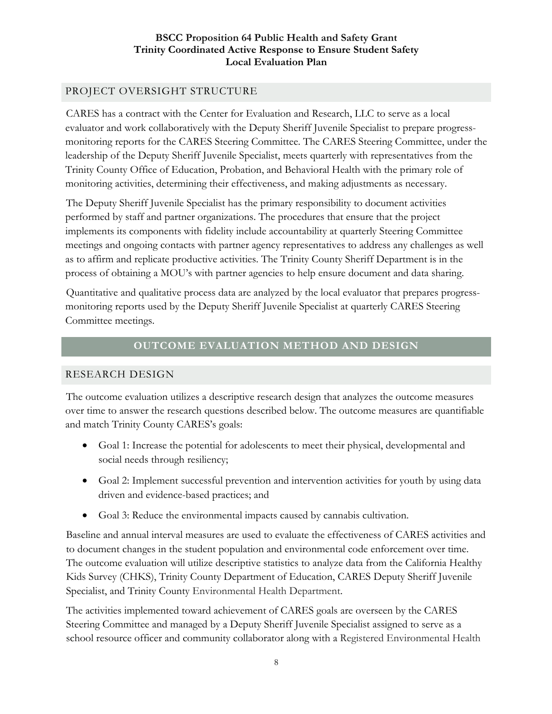# PROJECT OVERSIGHT STRUCTURE

CARES has a contract with the Center for Evaluation and Research, LLC to serve as a local evaluator and work collaboratively with the Deputy Sheriff Juvenile Specialist to prepare progressmonitoring reports for the CARES Steering Committee. The CARES Steering Committee, under the leadership of the Deputy Sheriff Juvenile Specialist, meets quarterly with representatives from the Trinity County Office of Education, Probation, and Behavioral Health with the primary role of monitoring activities, determining their effectiveness, and making adjustments as necessary.

The Deputy Sheriff Juvenile Specialist has the primary responsibility to document activities performed by staff and partner organizations. The procedures that ensure that the project implements its components with fidelity include accountability at quarterly Steering Committee meetings and ongoing contacts with partner agency representatives to address any challenges as well as to affirm and replicate productive activities. The Trinity County Sheriff Department is in the process of obtaining a MOU's with partner agencies to help ensure document and data sharing.

Quantitative and qualitative process data are analyzed by the local evaluator that prepares progressmonitoring reports used by the Deputy Sheriff Juvenile Specialist at quarterly CARES Steering Committee meetings.

#### **OUTCOME EVALUATION METHOD AND DESIGN**

#### RESEARCH DESIGN

The outcome evaluation utilizes a descriptive research design that analyzes the outcome measures over time to answer the research questions described below. The outcome measures are quantifiable and match Trinity County CARES's goals:

- Goal 1: Increase the potential for adolescents to meet their physical, developmental and social needs through resiliency;
- Goal 2: Implement successful prevention and intervention activities for youth by using data driven and evidence-based practices; and
- Goal 3: Reduce the environmental impacts caused by cannabis cultivation.

Baseline and annual interval measures are used to evaluate the effectiveness of CARES activities and to document changes in the student population and environmental code enforcement over time. The outcome evaluation will utilize descriptive statistics to analyze data from the California Healthy Kids Survey (CHKS), Trinity County Department of Education, CARES Deputy Sheriff Juvenile Specialist, and Trinity County Environmental Health Department.

The activities implemented toward achievement of CARES goals are overseen by the CARES Steering Committee and managed by a Deputy Sheriff Juvenile Specialist assigned to serve as a school resource officer and community collaborator along with a Registered Environmental Health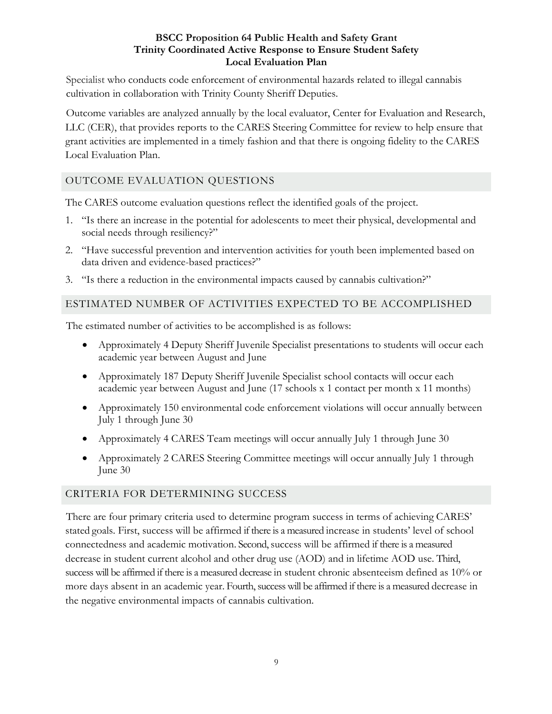Specialist who conducts code enforcement of environmental hazards related to illegal cannabis cultivation in collaboration with Trinity County Sheriff Deputies.

Outcome variables are analyzed annually by the local evaluator, Center for Evaluation and Research, LLC (CER), that provides reports to the CARES Steering Committee for review to help ensure that grant activities are implemented in a timely fashion and that there is ongoing fidelity to the CARES Local Evaluation Plan.

# OUTCOME EVALUATION QUESTIONS

The CARES outcome evaluation questions reflect the identified goals of the project.

- 1. "Is there an increase in the potential for adolescents to meet their physical, developmental and social needs through resiliency?"
- 2. "Have successful prevention and intervention activities for youth been implemented based on data driven and evidence-based practices?"
- 3. "Is there a reduction in the environmental impacts caused by cannabis cultivation?"

## ESTIMATED NUMBER OF ACTIVITIES EXPECTED TO BE ACCOMPLISHED

The estimated number of activities to be accomplished is as follows:

- Approximately 4 Deputy Sheriff Juvenile Specialist presentations to students will occur each academic year between August and June
- Approximately 187 Deputy Sheriff Juvenile Specialist school contacts will occur each academic year between August and June (17 schools x 1 contact per month x 11 months)
- Approximately 150 environmental code enforcement violations will occur annually between July 1 through June 30
- Approximately 4 CARES Team meetings will occur annually July 1 through June 30
- Approximately 2 CARES Steering Committee meetings will occur annually July 1 through June 30

# CRITERIA FOR DETERMINING SUCCESS

There are four primary criteria used to determine program success in terms of achieving CARES' stated goals. First, success will be affirmed if there is a measured increase in students' level of school connectedness and academic motivation. Second, success will be affirmed if there is a measured decrease in student current alcohol and other drug use (AOD) and in lifetime AOD use. Third, success will be affirmed if there is a measured decrease in student chronic absenteeism defined as 10% or more days absent in an academic year. Fourth, success will be affirmed if there is a measured decrease in the negative environmental impacts of cannabis cultivation.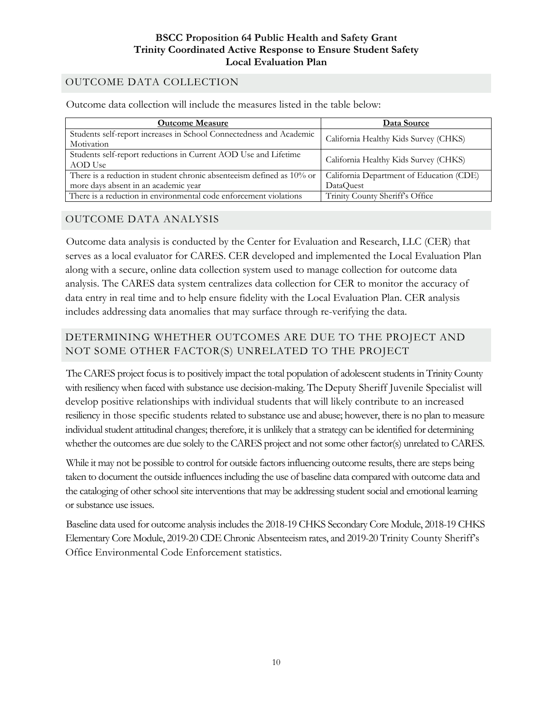# OUTCOME DATA COLLECTION

Outcome data collection will include the measures listed in the table below:

| <b>Outcome Measure</b>                                                            | Data Source                              |  |
|-----------------------------------------------------------------------------------|------------------------------------------|--|
| Students self-report increases in School Connectedness and Academic<br>Motivation | California Healthy Kids Survey (CHKS)    |  |
| Students self-report reductions in Current AOD Use and Lifetime<br>AOD Use        | California Healthy Kids Survey (CHKS)    |  |
| There is a reduction in student chronic absenteeism defined as $10\%$ or          | California Department of Education (CDE) |  |
| more days absent in an academic year                                              | DataQuest                                |  |
| There is a reduction in environmental code enforcement violations                 | Trinity County Sheriff's Office          |  |

#### OUTCOME DATA ANALYSIS

Outcome data analysis is conducted by the Center for Evaluation and Research, LLC (CER) that serves as a local evaluator for CARES. CER developed and implemented the Local Evaluation Plan along with a secure, online data collection system used to manage collection for outcome data analysis. The CARES data system centralizes data collection for CER to monitor the accuracy of data entry in real time and to help ensure fidelity with the Local Evaluation Plan. CER analysis includes addressing data anomalies that may surface through re-verifying the data.

# DETERMINING WHETHER OUTCOMES ARE DUE TO THE PROJECT AND NOT SOME OTHER FACTOR(S) UNRELATED TO THE PROJECT

The CARES project focus is to positively impact the total population of adolescent students in Trinity County with resiliency when faced with substance use decision-making. The Deputy Sheriff Juvenile Specialist will develop positive relationships with individual students that will likely contribute to an increased resiliency in those specific students related to substance use and abuse; however, there is no plan to measure individual student attitudinal changes; therefore, it is unlikely that a strategy can be identified for determining whether the outcomes are due solely to the CARES project and not some other factor(s) unrelated to CARES.

While it may not be possible to control for outside factors influencing outcome results, there are steps being taken to document the outside influences including the use of baseline data compared with outcome data and the cataloging of other school site interventions that may be addressing student social and emotional learning or substance use issues.

Baseline data used for outcome analysis includes the 2018-19 CHKS Secondary Core Module, 2018-19 CHKS Elementary Core Module, 2019-20 CDE Chronic Absenteeism rates, and 2019-20 Trinity County Sheriff's Office Environmental Code Enforcement statistics.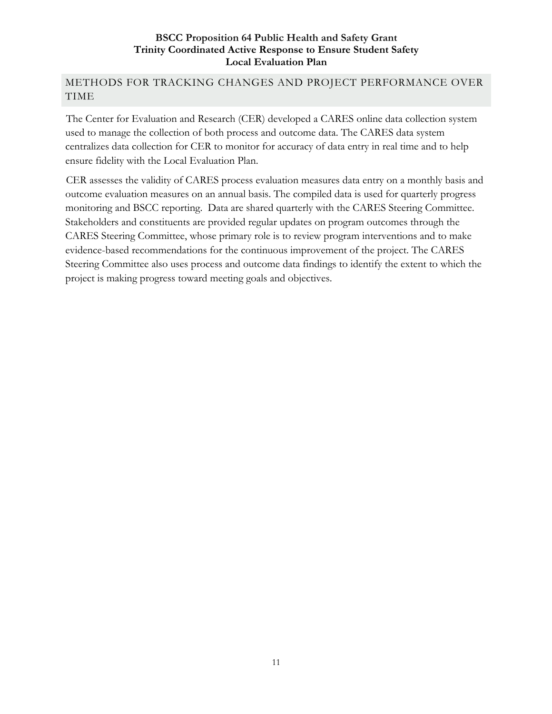# METHODS FOR TRACKING CHANGES AND PROJECT PERFORMANCE OVER TIME

The Center for Evaluation and Research (CER) developed a CARES online data collection system used to manage the collection of both process and outcome data. The CARES data system centralizes data collection for CER to monitor for accuracy of data entry in real time and to help ensure fidelity with the Local Evaluation Plan.

CER assesses the validity of CARES process evaluation measures data entry on a monthly basis and outcome evaluation measures on an annual basis. The compiled data is used for quarterly progress monitoring and BSCC reporting. Data are shared quarterly with the CARES Steering Committee. Stakeholders and constituents are provided regular updates on program outcomes through the CARES Steering Committee, whose primary role is to review program interventions and to make evidence-based recommendations for the continuous improvement of the project. The CARES Steering Committee also uses process and outcome data findings to identify the extent to which the project is making progress toward meeting goals and objectives.